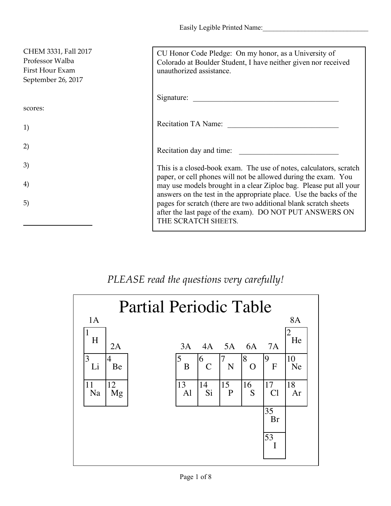Easily Legible Printed Name:

| CHEM 3331, Fall 2017<br>Professor Walba<br>First Hour Exam<br>September 26, 2017 | CU Honor Code Pledge: On my honor, as a University of<br>Colorado at Boulder Student, I have neither given nor received<br>unauthorized assistance.                                                       |
|----------------------------------------------------------------------------------|-----------------------------------------------------------------------------------------------------------------------------------------------------------------------------------------------------------|
|                                                                                  | Signature:                                                                                                                                                                                                |
| scores:                                                                          |                                                                                                                                                                                                           |
| 1)                                                                               | Recitation TA Name:                                                                                                                                                                                       |
| 2)                                                                               | Recitation day and time:                                                                                                                                                                                  |
| 3)                                                                               | This is a closed-book exam. The use of notes, calculators, scratch                                                                                                                                        |
| 4)                                                                               | paper, or cell phones will not be allowed during the exam. You<br>may use models brought in a clear Ziploc bag. Please put all your<br>answers on the test in the appropriate place. Use the backs of the |
| 5)                                                                               | pages for scratch (there are two additional blank scratch sheets)<br>after the last page of the exam). DO NOT PUT ANSWERS ON<br>THE SCRATCH SHEETS.                                                       |

## *PLEASE read the questions very carefully!*

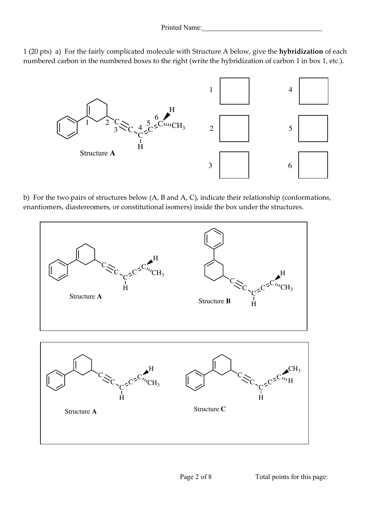



b) For the two pairs of structures below (A, B and A, C), indicate their relationship (conformations, enantiomers, diastereomers, or constitutional isomers) inside the box under the structures.

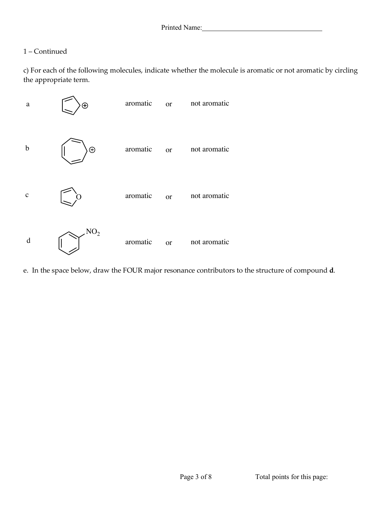## 1 – Continued

c) For each of the following molecules, indicate whether the molecule is aromatic or not aromatic by circling the appropriate term.



e. In the space below, draw the FOUR major resonance contributors to the structure of compound **d**.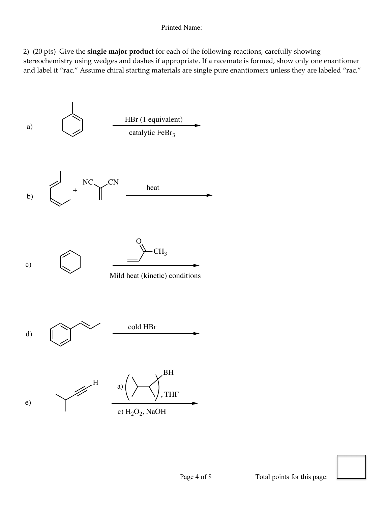2) (20 pts) Give the **single major product** for each of the following reactions, carefully showing stereochemistry using wedges and dashes if appropriate. If a racemate is formed, show only one enantiomer and label it "rac." Assume chiral starting materials are single pure enantiomers unless they are labeled "rac."

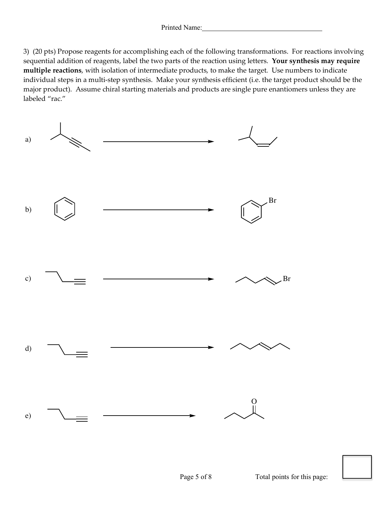3) (20 pts) Propose reagents for accomplishing each of the following transformations. For reactions involving sequential addition of reagents, label the two parts of the reaction using letters. **Your synthesis may require multiple reactions**, with isolation of intermediate products, to make the target. Use numbers to indicate individual steps in a multi-step synthesis. Make your synthesis efficient (i.e. the target product should be the major product). Assume chiral starting materials and products are single pure enantiomers unless they are labeled "rac."



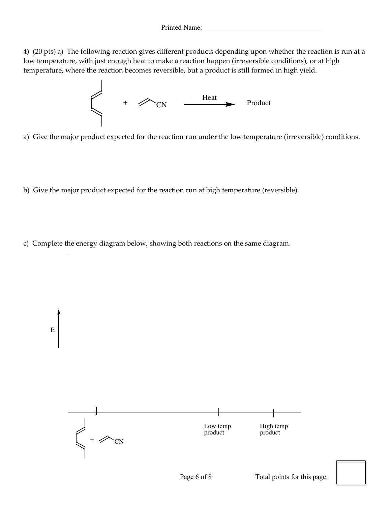4) (20 pts) a) The following reaction gives different products depending upon whether the reaction is run at a low temperature, with just enough heat to make a reaction happen (irreversible conditions), or at high temperature, where the reaction becomes reversible, but a product is still formed in high yield.



a) Give the major product expected for the reaction run under the low temperature (irreversible) conditions.

- b) Give the major product expected for the reaction run at high temperature (reversible).
- c) Complete the energy diagram below, showing both reactions on the same diagram.

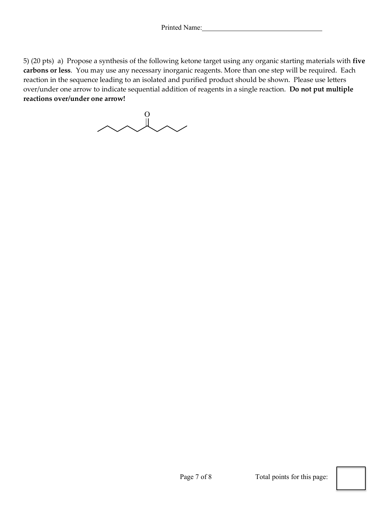5) (20 pts) a) Propose a synthesis of the following ketone target using any organic starting materials with **five carbons or less**. You may use any necessary inorganic reagents. More than one step will be required. Each reaction in the sequence leading to an isolated and purified product should be shown. Please use letters over/under one arrow to indicate sequential addition of reagents in a single reaction. **Do not put multiple reactions over/under one arrow!**

 $\lambda \lambda \lambda$